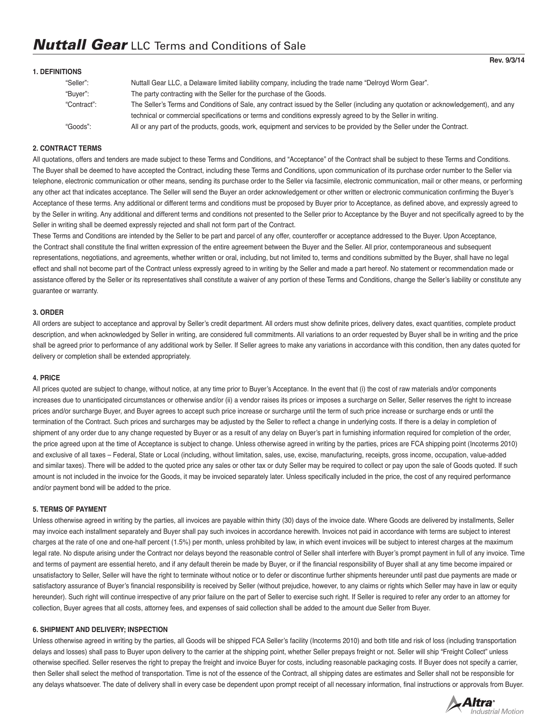#### **1. DEFINITIONS**

| "Seller":   | Nuttall Gear LLC, a Delaware limited liability company, including the trade name "Delroyd Worm Gear".                              |
|-------------|------------------------------------------------------------------------------------------------------------------------------------|
| "Buver":    | The party contracting with the Seller for the purchase of the Goods.                                                               |
| "Contract": | The Seller's Terms and Conditions of Sale, any contract issued by the Seller (including any quotation or acknowledgement), and any |
|             | technical or commercial specifications or terms and conditions expressly agreed to by the Seller in writing.                       |
| "Goods":    | All or any part of the products, goods, work, equipment and services to be provided by the Seller under the Contract.              |

### **2. CONTRACT TERMS**

All quotations, offers and tenders are made subject to these Terms and Conditions, and "Acceptance" of the Contract shall be subject to these Terms and Conditions. The Buyer shall be deemed to have accepted the Contract, including these Terms and Conditions, upon communication of its purchase order number to the Seller via telephone, electronic communication or other means, sending its purchase order to the Seller via facsimile, electronic communication, mail or other means, or performing any other act that indicates acceptance. The Seller will send the Buyer an order acknowledgement or other written or electronic communication confirming the Buyer's Acceptance of these terms. Any additional or different terms and conditions must be proposed by Buyer prior to Acceptance, as defined above, and expressly agreed to by the Seller in writing. Any additional and different terms and conditions not presented to the Seller prior to Acceptance by the Buyer and not specifically agreed to by the Seller in writing shall be deemed expressly rejected and shall not form part of the Contract.

These Terms and Conditions are intended by the Seller to be part and parcel of any offer, counteroffer or acceptance addressed to the Buyer. Upon Acceptance, the Contract shall constitute the final written expression of the entire agreement between the Buyer and the Seller. All prior, contemporaneous and subsequent representations, negotiations, and agreements, whether written or oral, including, but not limited to, terms and conditions submitted by the Buyer, shall have no legal effect and shall not become part of the Contract unless expressly agreed to in writing by the Seller and made a part hereof. No statement or recommendation made or assistance offered by the Seller or its representatives shall constitute a waiver of any portion of these Terms and Conditions, change the Seller's liability or constitute any guarantee or warranty.

#### **3. ORDER**

All orders are subject to acceptance and approval by Seller's credit department. All orders must show definite prices, delivery dates, exact quantities, complete product description, and when acknowledged by Seller in writing, are considered full commitments. All variations to an order requested by Buyer shall be in writing and the price shall be agreed prior to performance of any additional work by Seller. If Seller agrees to make any variations in accordance with this condition, then any dates quoted for delivery or completion shall be extended appropriately.

#### **4. PRICE**

All prices quoted are subject to change, without notice, at any time prior to Buyer's Acceptance. In the event that (i) the cost of raw materials and/or components increases due to unanticipated circumstances or otherwise and/or (ii) a vendor raises its prices or imposes a surcharge on Seller, Seller reserves the right to increase prices and/or surcharge Buyer, and Buyer agrees to accept such price increase or surcharge until the term of such price increase or surcharge ends or until the termination of the Contract. Such prices and surcharges may be adjusted by the Seller to reflect a change in underlying costs. If there is a delay in completion of shipment of any order due to any change requested by Buyer or as a result of any delay on Buyer's part in furnishing information required for completion of the order, the price agreed upon at the time of Acceptance is subject to change. Unless otherwise agreed in writing by the parties, prices are FCA shipping point (Incoterms 2010) and exclusive of all taxes – Federal, State or Local (including, without limitation, sales, use, excise, manufacturing, receipts, gross income, occupation, value-added and similar taxes). There will be added to the quoted price any sales or other tax or duty Seller may be required to collect or pay upon the sale of Goods quoted. If such amount is not included in the invoice for the Goods, it may be invoiced separately later. Unless specifically included in the price, the cost of any required performance and/or payment bond will be added to the price.

### **5. TERMS OF PAYMENT**

Unless otherwise agreed in writing by the parties, all invoices are payable within thirty (30) days of the invoice date. Where Goods are delivered by installments, Seller may invoice each installment separately and Buyer shall pay such invoices in accordance herewith. Invoices not paid in accordance with terms are subject to interest charges at the rate of one and one-half percent (1.5%) per month, unless prohibited by law, in which event invoices will be subject to interest charges at the maximum legal rate. No dispute arising under the Contract nor delays beyond the reasonable control of Seller shall interfere with Buyer's prompt payment in full of any invoice. Time and terms of payment are essential hereto, and if any default therein be made by Buyer, or if the financial responsibility of Buyer shall at any time become impaired or unsatisfactory to Seller, Seller will have the right to terminate without notice or to defer or discontinue further shipments hereunder until past due payments are made or satisfactory assurance of Buyer's financial responsibility is received by Seller (without prejudice, however, to any claims or rights which Seller may have in law or equity hereunder). Such right will continue irrespective of any prior failure on the part of Seller to exercise such right. If Seller is required to refer any order to an attorney for collection, Buyer agrees that all costs, attorney fees, and expenses of said collection shall be added to the amount due Seller from Buyer.

#### **6. SHIPMENT AND DELIVERY; INSPECTION**

Unless otherwise agreed in writing by the parties, all Goods will be shipped FCA Seller's facility (Incoterms 2010) and both title and risk of loss (including transportation delays and losses) shall pass to Buyer upon delivery to the carrier at the shipping point, whether Seller prepays freight or not. Seller will ship "Freight Collect" unless otherwise specified. Seller reserves the right to prepay the freight and invoice Buyer for costs, including reasonable packaging costs. If Buyer does not specify a carrier, then Seller shall select the method of transportation. Time is not of the essence of the Contract, all shipping dates are estimates and Seller shall not be responsible for any delays whatsoever. The date of delivery shall in every case be dependent upon prompt receipt of all necessary information, final instructions or approvals from Buyer.

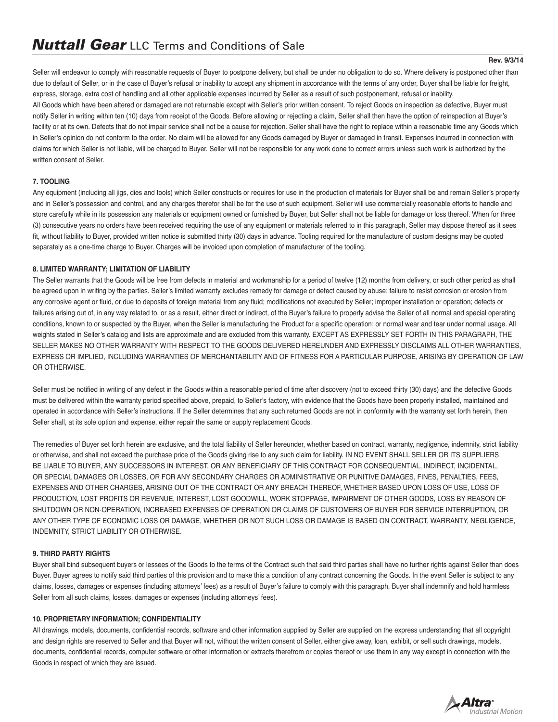Seller will endeavor to comply with reasonable requests of Buyer to postpone delivery, but shall be under no obligation to do so. Where delivery is postponed other than due to default of Seller, or in the case of Buyer's refusal or inability to accept any shipment in accordance with the terms of any order. Buyer shall be liable for freight, express, storage, extra cost of handling and all other applicable expenses incurred by Seller as a result of such postponement, refusal or inability. All Goods which have been altered or damaged are not returnable except with Seller's prior written consent. To reject Goods on inspection as defective, Buyer must notify Seller in writing within ten (10) days from receipt of the Goods. Before allowing or rejecting a claim, Seller shall then have the option of reinspection at Buyer's facility or at its own. Defects that do not impair service shall not be a cause for rejection. Seller shall have the right to replace within a reasonable time any Goods which in Seller's opinion do not conform to the order. No claim will be allowed for any Goods damaged by Buyer or damaged in transit. Expenses incurred in connection with claims for which Seller is not liable, will be charged to Buyer. Seller will not be responsible for any work done to correct errors unless such work is authorized by the written consent of Seller.

## **7. TOOLING**

Any equipment (including all jigs, dies and tools) which Seller constructs or requires for use in the production of materials for Buyer shall be and remain Seller's property and in Seller's possession and control, and any charges therefor shall be for the use of such equipment. Seller will use commercially reasonable efforts to handle and store carefully while in its possession any materials or equipment owned or furnished by Buyer, but Seller shall not be liable for damage or loss thereof. When for three (3) consecutive years no orders have been received requiring the use of any equipment or materials referred to in this paragraph, Seller may dispose thereof as it sees fit, without liability to Buyer, provided written notice is submitted thirty (30) days in advance. Tooling required for the manufacture of custom designs may be quoted separately as a one-time charge to Buyer. Charges will be invoiced upon completion of manufacturer of the tooling.

## **8. LIMITED WARRANTY; LIMITATION OF LIABILITY**

The Seller warrants that the Goods will be free from defects in material and workmanship for a period of twelve (12) months from delivery, or such other period as shall be agreed upon in writing by the parties. Seller's limited warranty excludes remedy for damage or defect caused by abuse; failure to resist corrosion or erosion from any corrosive agent or fluid, or due to deposits of foreign material from any fluid; modifications not executed by Seller; improper installation or operation; defects or failures arising out of, in any way related to, or as a result, either direct or indirect, of the Buyer's failure to properly advise the Seller of all normal and special operating conditions, known to or suspected by the Buyer, when the Seller is manufacturing the Product for a specific operation; or normal wear and tear under normal usage. All weights stated in Seller's catalog and lists are approximate and are excluded from this warranty. EXCEPT AS EXPRESSLY SET FORTH IN THIS PARAGRAPH, THE SELLER MAKES NO OTHER WARRANTY WITH RESPECT TO THE GOODS DELIVERED HEREUNDER AND EXPRESSLY DISCLAIMS ALL OTHER WARRANTIES, EXPRESS OR IMPLIED, INCLUDING WARRANTIES OF MERCHANTABILITY AND OF FITNESS FOR A PARTICULAR PURPOSE, ARISING BY OPERATION OF LAW OR OTHERWISE.

Seller must be notified in writing of any defect in the Goods within a reasonable period of time after discovery (not to exceed thirty (30) days) and the defective Goods must be delivered within the warranty period specified above, prepaid, to Seller's factory, with evidence that the Goods have been properly installed, maintained and operated in accordance with Seller's instructions. If the Seller determines that any such returned Goods are not in conformity with the warranty set forth herein, then Seller shall, at its sole option and expense, either repair the same or supply replacement Goods.

The remedies of Buyer set forth herein are exclusive, and the total liability of Seller hereunder, whether based on contract, warranty, negligence, indemnity, strict liability or otherwise, and shall not exceed the purchase price of the Goods giving rise to any such claim for liability. IN NO EVENT SHALL SELLER OR ITS SUPPLIERS BE LIABLE TO BUYER, ANY SUCCESSORS IN INTEREST, OR ANY BENEFICIARY OF THIS CONTRACT FOR CONSEQUENTIAL, INDIRECT, INCIDENTAL, OR SPECIAL DAMAGES OR LOSSES, OR FOR ANY SECONDARY CHARGES OR ADMINISTRATIVE OR PUNITIVE DAMAGES, FINES, PENALTIES, FEES, EXPENSES AND OTHER CHARGES, ARISING OUT OF THE CONTRACT OR ANY BREACH THEREOF, WHETHER BASED UPON LOSS OF USE, LOSS OF PRODUCTION, LOST PROFITS OR REVENUE, INTEREST, LOST GOODWILL, WORK STOPPAGE, IMPAIRMENT OF OTHER GOODS, LOSS BY REASON OF SHUTDOWN OR NON-OPERATION, INCREASED EXPENSES OF OPERATION OR CLAIMS OF CUSTOMERS OF BUYER FOR SERVICE INTERRUPTION, OR ANY OTHER TYPE OF ECONOMIC LOSS OR DAMAGE, WHETHER OR NOT SUCH LOSS OR DAMAGE IS BASED ON CONTRACT, WARRANTY, NEGLIGENCE, INDEMNITY, STRICT LIABILITY OR OTHERWISE.

# **9. THIRD PARTY RIGHTS**

Buyer shall bind subsequent buyers or lessees of the Goods to the terms of the Contract such that said third parties shall have no further rights against Seller than does Buyer. Buyer agrees to notify said third parties of this provision and to make this a condition of any contract concerning the Goods. In the event Seller is subject to any claims, losses, damages or expenses (including attorneys' fees) as a result of Buyer's failure to comply with this paragraph, Buyer shall indemnify and hold harmless Seller from all such claims, losses, damages or expenses (including attorneys' fees).

### **10. PROPRIETARY INFORMATION; CONFIDENTIALITY**

All drawings, models, documents, confidential records, software and other information supplied by Seller are supplied on the express understanding that all copyright and design rights are reserved to Seller and that Buyer will not, without the written consent of Seller, either give away, loan, exhibit, or sell such drawings, models, documents, confidential records, computer software or other information or extracts therefrom or copies thereof or use them in any way except in connection with the Goods in respect of which they are issued.

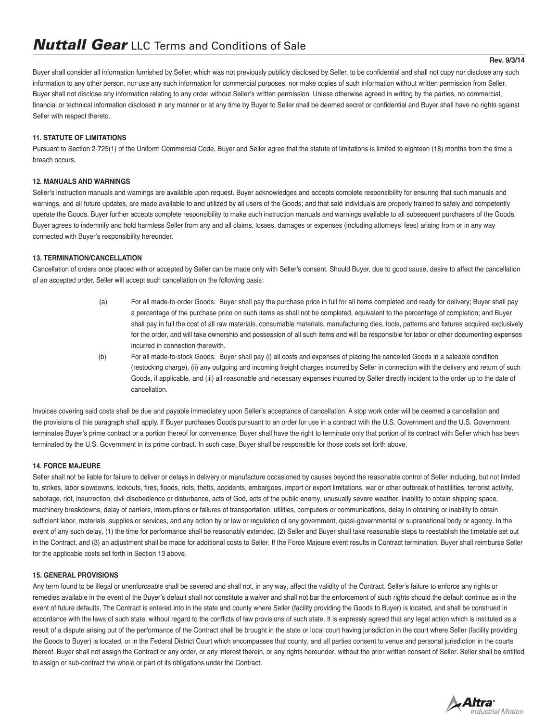#### **Rev. 9/3/14**

Buyer shall consider all information furnished by Seller, which was not previously publicly disclosed by Seller, to be confidential and shall not copy nor disclose any such information to any other person, nor use any such information for commercial purposes, nor make copies of such information without written permission from Seller. Buyer shall not disclose any information relating to any order without Seller's written permission. Unless otherwise agreed in writing by the parties, no commercial, financial or technical information disclosed in any manner or at any time by Buyer to Seller shall be deemed secret or confidential and Buyer shall have no rights against Seller with respect thereto.

## **11. STATUTE OF LIMITATIONS**

Pursuant to Section 2-725(1) of the Uniform Commercial Code, Buyer and Seller agree that the statute of limitations is limited to eighteen (18) months from the time a breach occurs.

## **12. MANUALS AND WARNINGS**

Seller's instruction manuals and warnings are available upon request. Buyer acknowledges and accepts complete responsibility for ensuring that such manuals and warnings, and all future updates, are made available to and utilized by all users of the Goods; and that said individuals are properly trained to safely and competently operate the Goods. Buyer further accepts complete responsibility to make such instruction manuals and warnings available to all subsequent purchasers of the Goods. Buyer agrees to indemnify and hold harmless Seller from any and all claims, losses, damages or expenses (including attorneys' fees) arising from or in any way connected with Buyer's responsibility hereunder.

## **13. TERMINATION/CANCELLATION**

Cancellation of orders once placed with or accepted by Seller can be made only with Seller's consent. Should Buyer, due to good cause, desire to affect the cancellation of an accepted order, Seller will accept such cancellation on the following basis:

- (a) For all made-to-order Goods: Buyer shall pay the purchase price in full for all items completed and ready for delivery; Buyer shall pay a percentage of the purchase price on such items as shall not be completed, equivalent to the percentage of completion; and Buyer shall pay in full the cost of all raw materials, consumable materials, manufacturing dies, tools, patterns and fixtures acquired exclusively for the order, and will take ownership and possession of all such items and will be responsible for labor or other documenting expenses incurred in connection therewith.
- (b) For all made-to-stock Goods: Buyer shall pay (i) all costs and expenses of placing the cancelled Goods in a saleable condition (restocking charge), (ii) any outgoing and incoming freight charges incurred by Seller in connection with the delivery and return of such Goods, if applicable, and (iii) all reasonable and necessary expenses incurred by Seller directly incident to the order up to the date of cancellation.

Invoices covering said costs shall be due and payable immediately upon Seller's acceptance of cancellation. A stop work order will be deemed a cancellation and the provisions of this paragraph shall apply. If Buyer purchases Goods pursuant to an order for use in a contract with the U.S. Government and the U.S. Government terminates Buyer's prime contract or a portion thereof for convenience, Buyer shall have the right to terminate only that portion of its contract with Seller which has been terminated by the U.S. Government in its prime contract. In such case, Buyer shall be responsible for those costs set forth above.

### **14. FORCE MAJEURE**

Seller shall not be liable for failure to deliver or delays in delivery or manufacture occasioned by causes beyond the reasonable control of Seller including, but not limited to, strikes, labor slowdowns, lockouts, fires, floods, riots, thefts, accidents, embargoes, import or export limitations, war or other outbreak of hostilities, terrorist activity, sabotage, riot, insurrection, civil disobedience or disturbance, acts of God, acts of the public enemy, unusually severe weather, inability to obtain shipping space. machinery breakdowns, delay of carriers, interruptions or failures of transportation, utilities, computers or communications, delay in obtaining or inability to obtain sufficient labor, materials, supplies or services, and any action by or law or regulation of any government, quasi-governmental or supranational body or agency. In the event of any such delay, (1) the time for performance shall be reasonably extended, (2) Seller and Buyer shall take reasonable steps to reestablish the timetable set out in the Contract, and (3) an adjustment shall be made for additional costs to Seller. If the Force Majeure event results in Contract termination, Buyer shall reimburse Seller for the applicable costs set forth in Section 13 above.

### **15. GENERAL PROVISIONS**

Any term found to be illegal or unenforceable shall be severed and shall not, in any way, affect the validity of the Contract. Seller's failure to enforce any rights or remedies available in the event of the Buyer's default shall not constitute a waiver and shall not bar the enforcement of such rights should the default continue as in the event of future defaults. The Contract is entered into in the state and county where Seller (facility providing the Goods to Buyer) is located, and shall be construed in accordance with the laws of such state, without regard to the conflicts of law provisions of such state. It is expressly agreed that any legal action which is instituted as a result of a dispute arising out of the performance of the Contract shall be brought in the state or local court having jurisdiction in the court where Seller (facility providing the Goods to Buyer) is located, or in the Federal District Court which encompasses that county, and all parties consent to venue and personal jurisdiction in the courts thereof. Buyer shall not assign the Contract or any order, or any interest therein, or any rights hereunder, without the prior written consent of Seller. Seller shall be entitled to assign or sub-contract the whole or part of its obligations under the Contract.